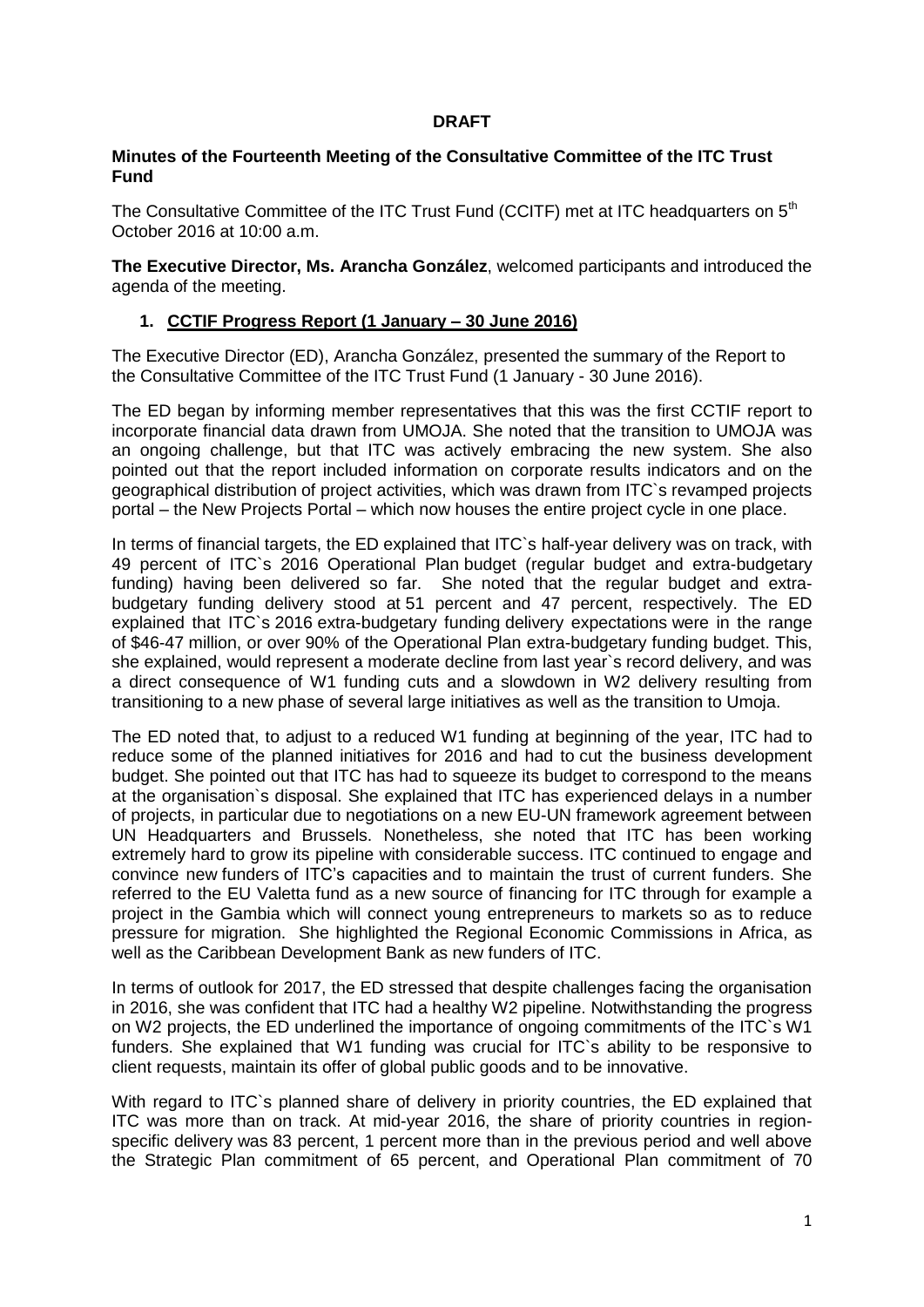## **DRAFT**

## **Minutes of the Fourteenth Meeting of the Consultative Committee of the ITC Trust Fund**

The Consultative Committee of the ITC Trust Fund (CCITF) met at ITC headquarters on 5<sup>th</sup> October 2016 at 10:00 a.m.

**The Executive Director, Ms. Arancha González**, welcomed participants and introduced the agenda of the meeting.

### **1. CCTIF Progress Report (1 January – 30 June 2016)**

The Executive Director (ED), Arancha González, presented the summary of the Report to the Consultative Committee of the ITC Trust Fund (1 January - 30 June 2016).

The ED began by informing member representatives that this was the first CCTIF report to incorporate financial data drawn from UMOJA. She noted that the transition to UMOJA was an ongoing challenge, but that ITC was actively embracing the new system. She also pointed out that the report included information on corporate results indicators and on the geographical distribution of project activities, which was drawn from ITC`s revamped projects portal – the New Projects Portal – which now houses the entire project cycle in one place.

In terms of financial targets, the ED explained that ITC`s half-year delivery was on track, with 49 percent of ITC`s 2016 Operational Plan budget (regular budget and extra-budgetary funding) having been delivered so far. She noted that the regular budget and extrabudgetary funding delivery stood at 51 percent and 47 percent, respectively. The ED explained that ITC`s 2016 extra-budgetary funding delivery expectations were in the range of \$46-47 million, or over 90% of the Operational Plan extra-budgetary funding budget. This, she explained, would represent a moderate decline from last year`s record delivery, and was a direct consequence of W1 funding cuts and a slowdown in W2 delivery resulting from transitioning to a new phase of several large initiatives as well as the transition to Umoja.

The ED noted that, to adjust to a reduced W1 funding at beginning of the year, ITC had to reduce some of the planned initiatives for 2016 and had to cut the business development budget. She pointed out that ITC has had to squeeze its budget to correspond to the means at the organisation`s disposal. She explained that ITC has experienced delays in a number of projects, in particular due to negotiations on a new EU-UN framework agreement between UN Headquarters and Brussels. Nonetheless, she noted that ITC has been working extremely hard to grow its pipeline with considerable success. ITC continued to engage and convince new funders of ITC's capacities and to maintain the trust of current funders. She referred to the EU Valetta fund as a new source of financing for ITC through for example a project in the Gambia which will connect young entrepreneurs to markets so as to reduce pressure for migration. She highlighted the Regional Economic Commissions in Africa, as well as the Caribbean Development Bank as new funders of ITC.

In terms of outlook for 2017, the ED stressed that despite challenges facing the organisation in 2016, she was confident that ITC had a healthy W2 pipeline. Notwithstanding the progress on W2 projects, the ED underlined the importance of ongoing commitments of the ITC`s W1 funders. She explained that W1 funding was crucial for ITC's ability to be responsive to client requests, maintain its offer of global public goods and to be innovative.

With regard to ITC's planned share of delivery in priority countries, the ED explained that ITC was more than on track. At mid-year 2016, the share of priority countries in regionspecific delivery was 83 percent, 1 percent more than in the previous period and well above the Strategic Plan commitment of 65 percent, and Operational Plan commitment of 70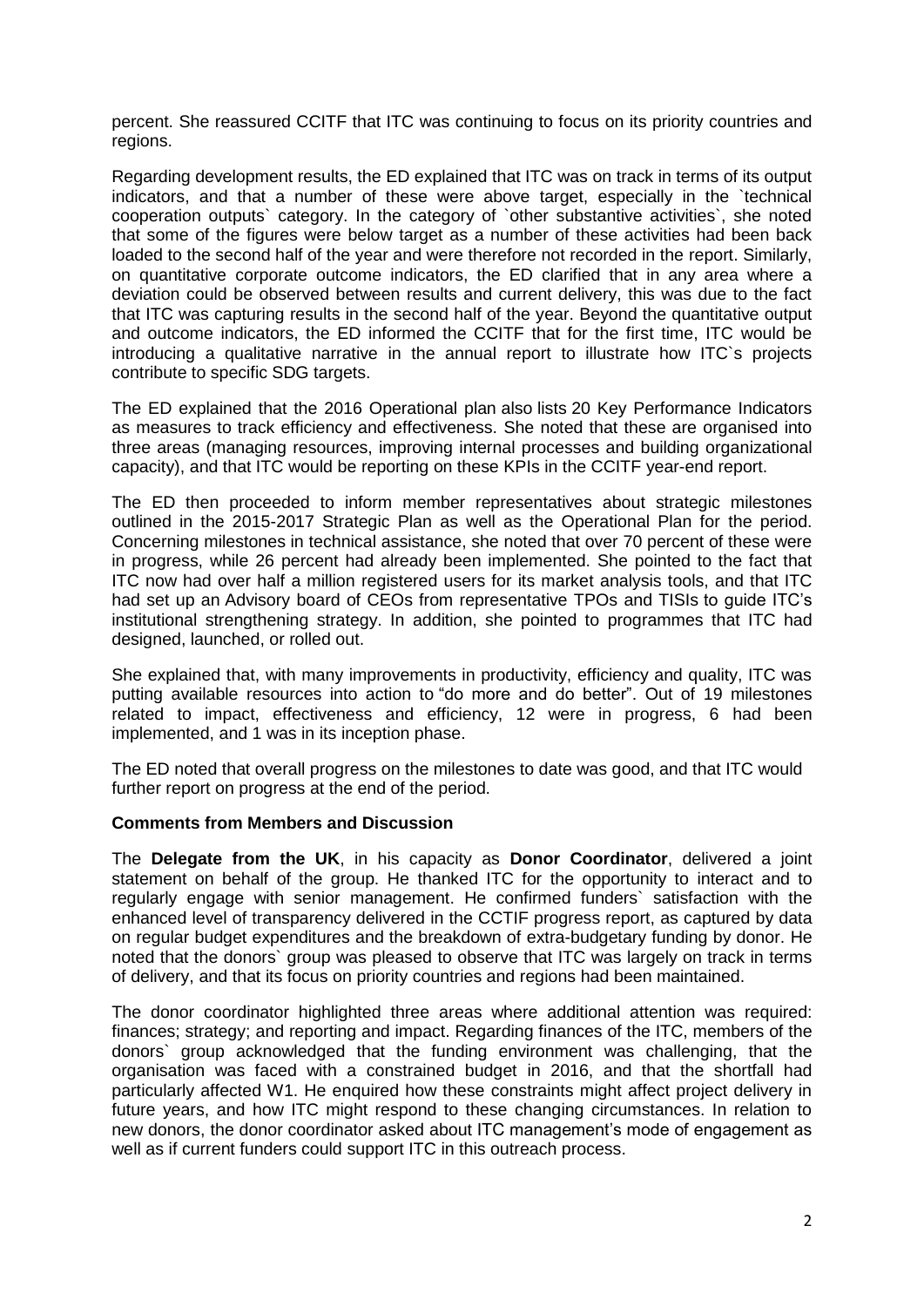percent. She reassured CCITF that ITC was continuing to focus on its priority countries and regions.

Regarding development results, the ED explained that ITC was on track in terms of its output indicators, and that a number of these were above target, especially in the `technical cooperation outputs` category. In the category of `other substantive activities`, she noted that some of the figures were below target as a number of these activities had been back loaded to the second half of the year and were therefore not recorded in the report. Similarly, on quantitative corporate outcome indicators, the ED clarified that in any area where a deviation could be observed between results and current delivery, this was due to the fact that ITC was capturing results in the second half of the year. Beyond the quantitative output and outcome indicators, the ED informed the CCITF that for the first time, ITC would be introducing a qualitative narrative in the annual report to illustrate how ITC`s projects contribute to specific SDG targets.

The ED explained that the 2016 Operational plan also lists 20 Key Performance Indicators as measures to track efficiency and effectiveness. She noted that these are organised into three areas (managing resources, improving internal processes and building organizational capacity), and that ITC would be reporting on these KPIs in the CCITF year-end report.

The ED then proceeded to inform member representatives about strategic milestones outlined in the 2015-2017 Strategic Plan as well as the Operational Plan for the period. Concerning milestones in technical assistance, she noted that over 70 percent of these were in progress, while 26 percent had already been implemented. She pointed to the fact that ITC now had over half a million registered users for its market analysis tools, and that ITC had set up an Advisory board of CEOs from representative TPOs and TISIs to guide ITC's institutional strengthening strategy. In addition, she pointed to programmes that ITC had designed, launched, or rolled out.

She explained that, with many improvements in productivity, efficiency and quality, ITC was putting available resources into action to "do more and do better". Out of 19 milestones related to impact, effectiveness and efficiency, 12 were in progress, 6 had been implemented, and 1 was in its inception phase.

The ED noted that overall progress on the milestones to date was good, and that ITC would further report on progress at the end of the period.

#### **Comments from Members and Discussion**

The **Delegate from the UK**, in his capacity as **Donor Coordinator**, delivered a joint statement on behalf of the group. He thanked ITC for the opportunity to interact and to regularly engage with senior management. He confirmed funders` satisfaction with the enhanced level of transparency delivered in the CCTIF progress report, as captured by data on regular budget expenditures and the breakdown of extra-budgetary funding by donor. He noted that the donors` group was pleased to observe that ITC was largely on track in terms of delivery, and that its focus on priority countries and regions had been maintained.

The donor coordinator highlighted three areas where additional attention was required: finances; strategy; and reporting and impact. Regarding finances of the ITC, members of the donors` group acknowledged that the funding environment was challenging, that the organisation was faced with a constrained budget in 2016, and that the shortfall had particularly affected W1. He enquired how these constraints might affect project delivery in future years, and how ITC might respond to these changing circumstances. In relation to new donors, the donor coordinator asked about ITC management's mode of engagement as well as if current funders could support ITC in this outreach process.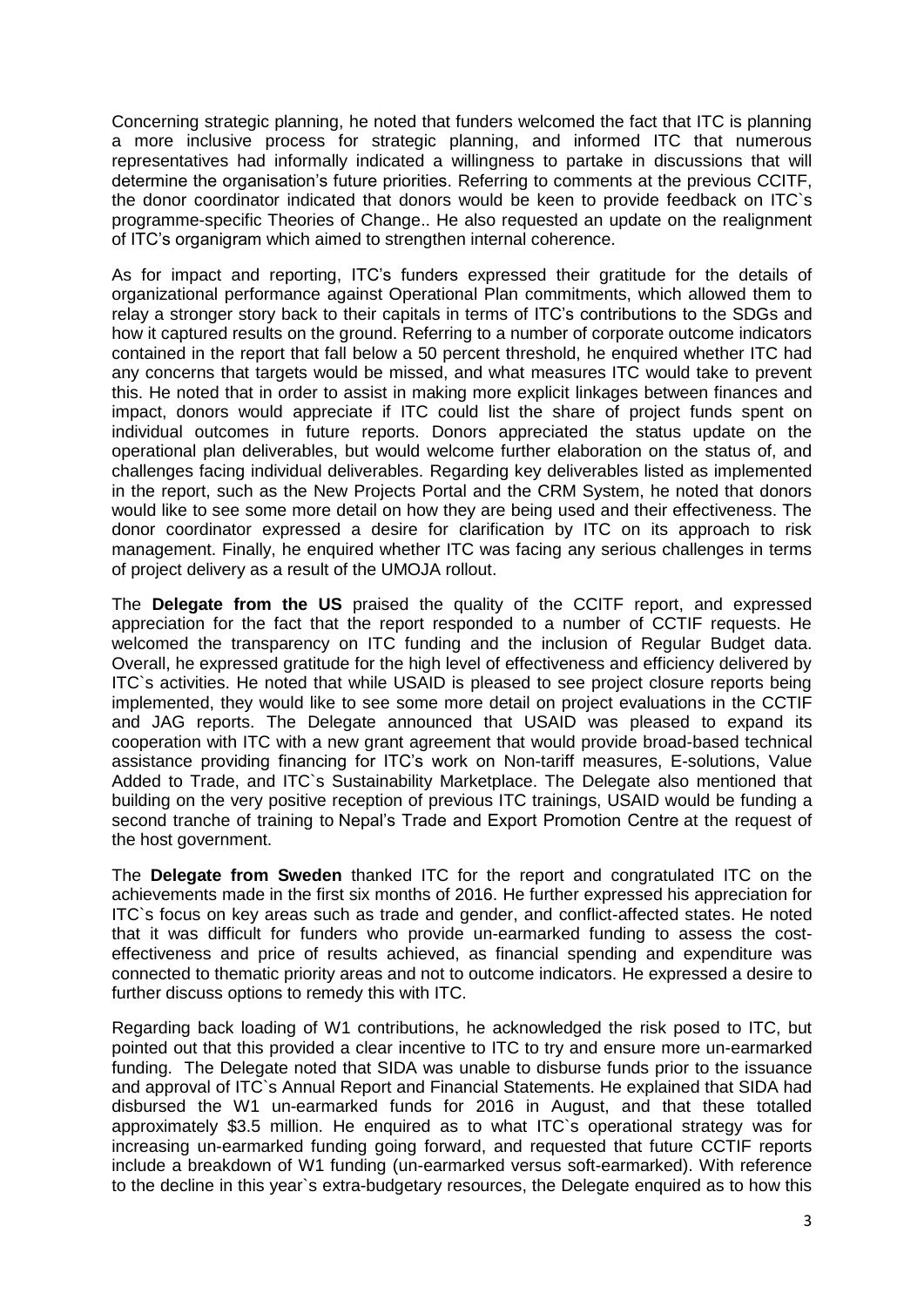Concerning strategic planning, he noted that funders welcomed the fact that ITC is planning a more inclusive process for strategic planning, and informed ITC that numerous representatives had informally indicated a willingness to partake in discussions that will determine the organisation's future priorities. Referring to comments at the previous CCITF, the donor coordinator indicated that donors would be keen to provide feedback on ITC`s programme-specific Theories of Change.. He also requested an update on the realignment of ITC's organigram which aimed to strengthen internal coherence.

As for impact and reporting, ITC's funders expressed their gratitude for the details of organizational performance against Operational Plan commitments, which allowed them to relay a stronger story back to their capitals in terms of ITC's contributions to the SDGs and how it captured results on the ground. Referring to a number of corporate outcome indicators contained in the report that fall below a 50 percent threshold, he enquired whether ITC had any concerns that targets would be missed, and what measures ITC would take to prevent this. He noted that in order to assist in making more explicit linkages between finances and impact, donors would appreciate if ITC could list the share of project funds spent on individual outcomes in future reports. Donors appreciated the status update on the operational plan deliverables, but would welcome further elaboration on the status of, and challenges facing individual deliverables. Regarding key deliverables listed as implemented in the report, such as the New Projects Portal and the CRM System, he noted that donors would like to see some more detail on how they are being used and their effectiveness. The donor coordinator expressed a desire for clarification by ITC on its approach to risk management. Finally, he enquired whether ITC was facing any serious challenges in terms of project delivery as a result of the UMOJA rollout.

The **Delegate from the US** praised the quality of the CCITF report, and expressed appreciation for the fact that the report responded to a number of CCTIF requests. He welcomed the transparency on ITC funding and the inclusion of Regular Budget data. Overall, he expressed gratitude for the high level of effectiveness and efficiency delivered by ITC`s activities. He noted that while USAID is pleased to see project closure reports being implemented, they would like to see some more detail on project evaluations in the CCTIF and JAG reports. The Delegate announced that USAID was pleased to expand its cooperation with ITC with a new grant agreement that would provide broad-based technical assistance providing financing for ITC's work on Non-tariff measures, E-solutions, Value Added to Trade, and ITC`s Sustainability Marketplace. The Delegate also mentioned that building on the very positive reception of previous ITC trainings, USAID would be funding a second tranche of training to Nepal's Trade and Export Promotion Centre at the request of the host government.

The **Delegate from Sweden** thanked ITC for the report and congratulated ITC on the achievements made in the first six months of 2016. He further expressed his appreciation for ITC`s focus on key areas such as trade and gender, and conflict-affected states. He noted that it was difficult for funders who provide un-earmarked funding to assess the costeffectiveness and price of results achieved, as financial spending and expenditure was connected to thematic priority areas and not to outcome indicators. He expressed a desire to further discuss options to remedy this with ITC.

Regarding back loading of W1 contributions, he acknowledged the risk posed to ITC, but pointed out that this provided a clear incentive to ITC to try and ensure more un-earmarked funding. The Delegate noted that SIDA was unable to disburse funds prior to the issuance and approval of ITC`s Annual Report and Financial Statements. He explained that SIDA had disbursed the W1 un-earmarked funds for 2016 in August, and that these totalled approximately \$3.5 million. He enquired as to what ITC`s operational strategy was for increasing un-earmarked funding going forward, and requested that future CCTIF reports include a breakdown of W1 funding (un-earmarked versus soft-earmarked). With reference to the decline in this year`s extra-budgetary resources, the Delegate enquired as to how this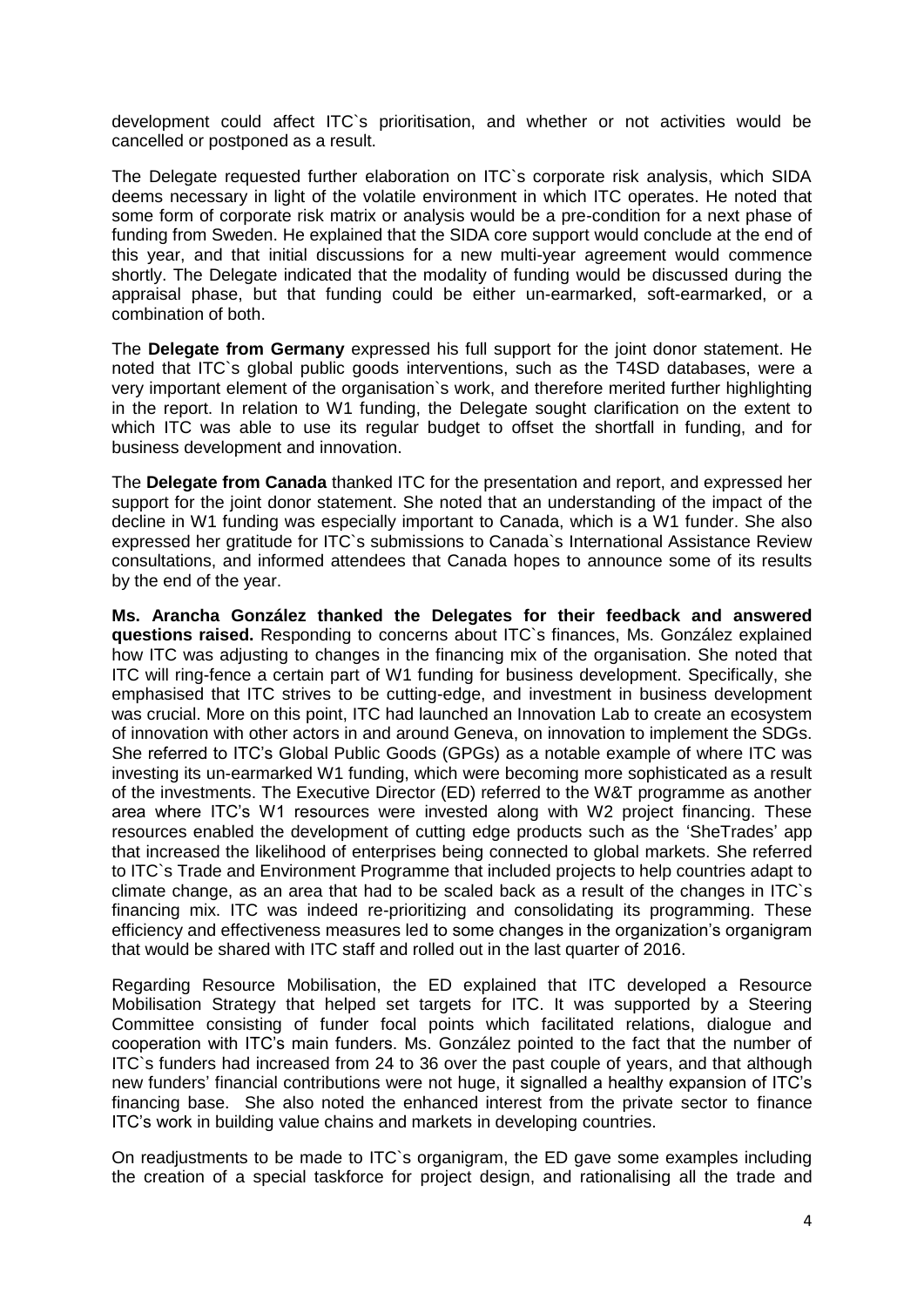development could affect ITC`s prioritisation, and whether or not activities would be cancelled or postponed as a result.

The Delegate requested further elaboration on ITC`s corporate risk analysis, which SIDA deems necessary in light of the volatile environment in which ITC operates. He noted that some form of corporate risk matrix or analysis would be a pre-condition for a next phase of funding from Sweden. He explained that the SIDA core support would conclude at the end of this year, and that initial discussions for a new multi-year agreement would commence shortly. The Delegate indicated that the modality of funding would be discussed during the appraisal phase, but that funding could be either un-earmarked, soft-earmarked, or a combination of both.

The **Delegate from Germany** expressed his full support for the joint donor statement. He noted that ITC`s global public goods interventions, such as the T4SD databases, were a very important element of the organisation`s work, and therefore merited further highlighting in the report. In relation to W1 funding, the Delegate sought clarification on the extent to which ITC was able to use its regular budget to offset the shortfall in funding, and for business development and innovation.

The **Delegate from Canada** thanked ITC for the presentation and report, and expressed her support for the joint donor statement. She noted that an understanding of the impact of the decline in W1 funding was especially important to Canada, which is a W1 funder. She also expressed her gratitude for ITC`s submissions to Canada`s International Assistance Review consultations, and informed attendees that Canada hopes to announce some of its results by the end of the year.

**Ms. Arancha González thanked the Delegates for their feedback and answered questions raised.** Responding to concerns about ITC`s finances, Ms. González explained how ITC was adjusting to changes in the financing mix of the organisation. She noted that ITC will ring-fence a certain part of W1 funding for business development. Specifically, she emphasised that ITC strives to be cutting-edge, and investment in business development was crucial. More on this point, ITC had launched an Innovation Lab to create an ecosystem of innovation with other actors in and around Geneva, on innovation to implement the SDGs. She referred to ITC's Global Public Goods (GPGs) as a notable example of where ITC was investing its un-earmarked W1 funding, which were becoming more sophisticated as a result of the investments. The Executive Director (ED) referred to the W&T programme as another area where ITC's W1 resources were invested along with W2 project financing. These resources enabled the development of cutting edge products such as the 'SheTrades' app that increased the likelihood of enterprises being connected to global markets. She referred to ITC`s Trade and Environment Programme that included projects to help countries adapt to climate change, as an area that had to be scaled back as a result of the changes in ITC`s financing mix. ITC was indeed re-prioritizing and consolidating its programming. These efficiency and effectiveness measures led to some changes in the organization's organigram that would be shared with ITC staff and rolled out in the last quarter of 2016.

Regarding Resource Mobilisation, the ED explained that ITC developed a Resource Mobilisation Strategy that helped set targets for ITC. It was supported by a Steering Committee consisting of funder focal points which facilitated relations, dialogue and cooperation with ITC's main funders. Ms. González pointed to the fact that the number of ITC`s funders had increased from 24 to 36 over the past couple of years, and that although new funders' financial contributions were not huge, it signalled a healthy expansion of ITC's financing base. She also noted the enhanced interest from the private sector to finance ITC's work in building value chains and markets in developing countries.

On readjustments to be made to ITC`s organigram, the ED gave some examples including the creation of a special taskforce for project design, and rationalising all the trade and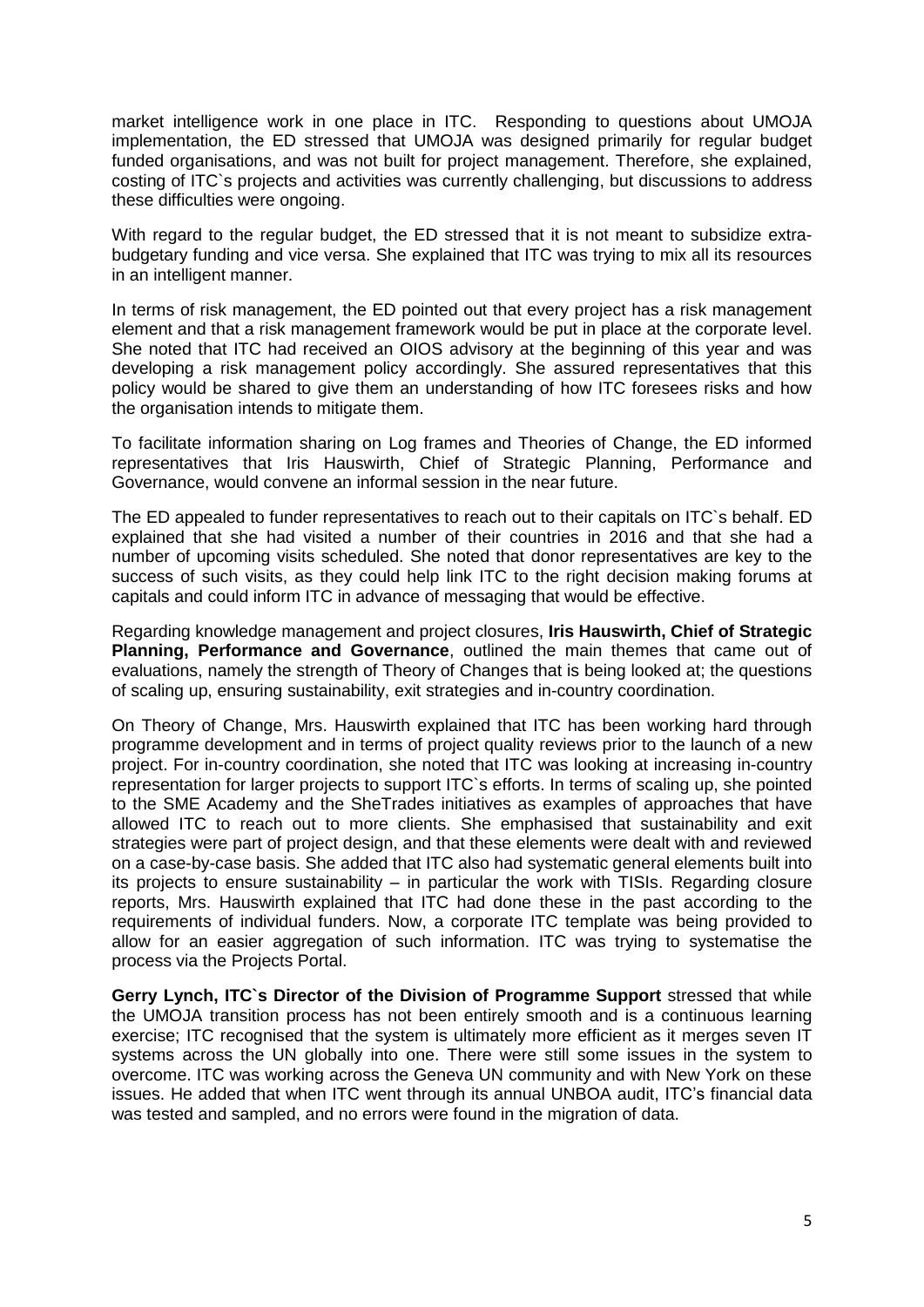market intelligence work in one place in ITC. Responding to questions about UMOJA implementation, the ED stressed that UMOJA was designed primarily for regular budget funded organisations, and was not built for project management. Therefore, she explained. costing of ITC`s projects and activities was currently challenging, but discussions to address these difficulties were ongoing.

With regard to the regular budget, the ED stressed that it is not meant to subsidize extrabudgetary funding and vice versa. She explained that ITC was trying to mix all its resources in an intelligent manner.

In terms of risk management, the ED pointed out that every project has a risk management element and that a risk management framework would be put in place at the corporate level. She noted that ITC had received an OIOS advisory at the beginning of this year and was developing a risk management policy accordingly. She assured representatives that this policy would be shared to give them an understanding of how ITC foresees risks and how the organisation intends to mitigate them.

To facilitate information sharing on Log frames and Theories of Change, the ED informed representatives that Iris Hauswirth, Chief of Strategic Planning, Performance and Governance, would convene an informal session in the near future.

The ED appealed to funder representatives to reach out to their capitals on ITC`s behalf. ED explained that she had visited a number of their countries in 2016 and that she had a number of upcoming visits scheduled. She noted that donor representatives are key to the success of such visits, as they could help link ITC to the right decision making forums at capitals and could inform ITC in advance of messaging that would be effective.

Regarding knowledge management and project closures, **Iris Hauswirth, Chief of Strategic Planning, Performance and Governance**, outlined the main themes that came out of evaluations, namely the strength of Theory of Changes that is being looked at; the questions of scaling up, ensuring sustainability, exit strategies and in-country coordination.

On Theory of Change, Mrs. Hauswirth explained that ITC has been working hard through programme development and in terms of project quality reviews prior to the launch of a new project. For in-country coordination, she noted that ITC was looking at increasing in-country representation for larger projects to support ITC`s efforts. In terms of scaling up, she pointed to the SME Academy and the SheTrades initiatives as examples of approaches that have allowed ITC to reach out to more clients. She emphasised that sustainability and exit strategies were part of project design, and that these elements were dealt with and reviewed on a case-by-case basis. She added that ITC also had systematic general elements built into its projects to ensure sustainability – in particular the work with TISIs. Regarding closure reports, Mrs. Hauswirth explained that ITC had done these in the past according to the requirements of individual funders. Now, a corporate ITC template was being provided to allow for an easier aggregation of such information. ITC was trying to systematise the process via the Projects Portal.

**Gerry Lynch, ITC`s Director of the Division of Programme Support** stressed that while the UMOJA transition process has not been entirely smooth and is a continuous learning exercise; ITC recognised that the system is ultimately more efficient as it merges seven IT systems across the UN globally into one. There were still some issues in the system to overcome. ITC was working across the Geneva UN community and with New York on these issues. He added that when ITC went through its annual UNBOA audit, ITC's financial data was tested and sampled, and no errors were found in the migration of data.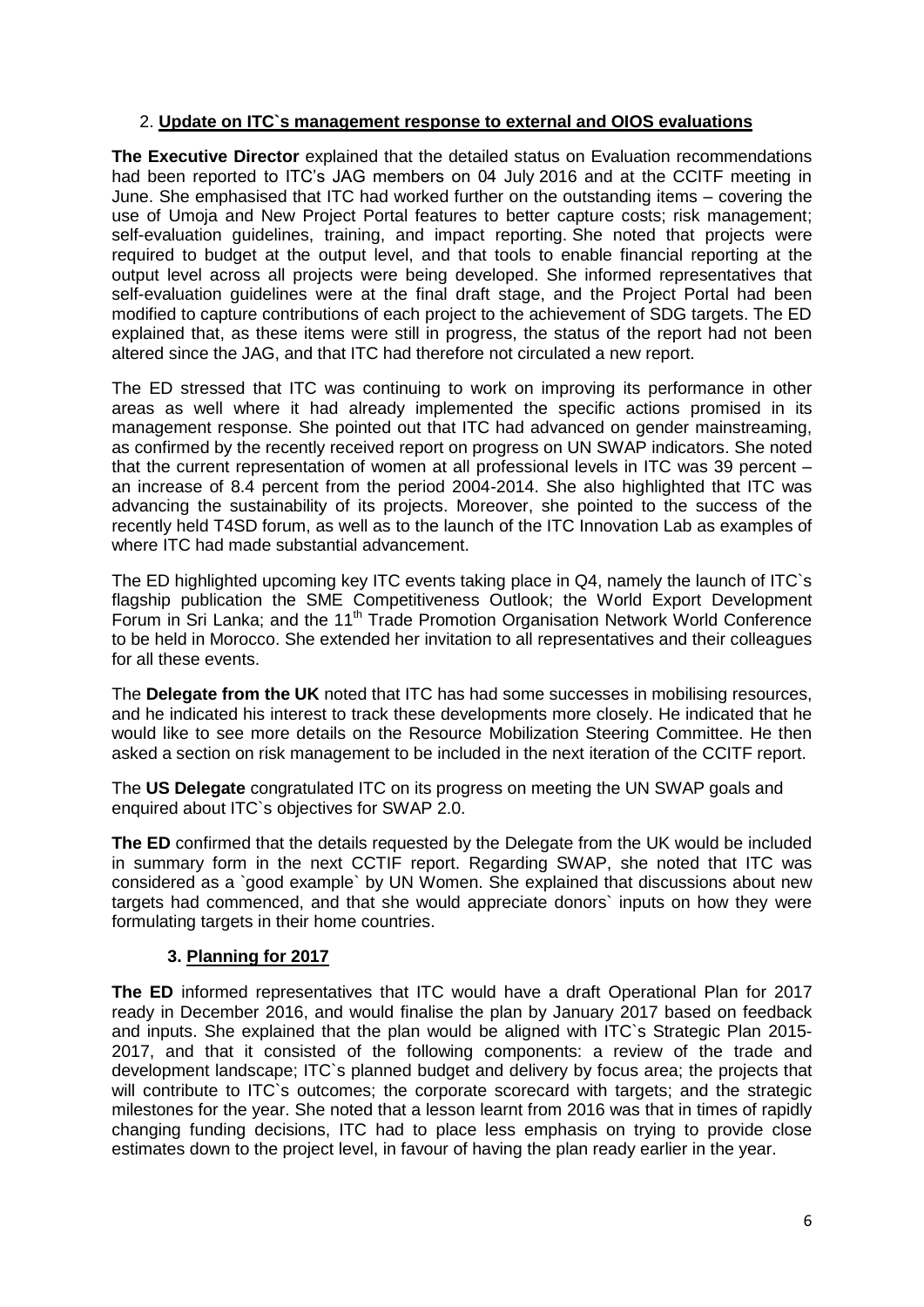## 2. **Update on ITC`s management response to external and OIOS evaluations**

**The Executive Director** explained that the detailed status on Evaluation recommendations had been reported to ITC's JAG members on 04 July 2016 and at the CCITF meeting in June. She emphasised that ITC had worked further on the outstanding items – covering the use of Umoja and New Project Portal features to better capture costs; risk management; self-evaluation guidelines, training, and impact reporting. She noted that projects were required to budget at the output level, and that tools to enable financial reporting at the output level across all projects were being developed. She informed representatives that self-evaluation guidelines were at the final draft stage, and the Project Portal had been modified to capture contributions of each project to the achievement of SDG targets. The ED explained that, as these items were still in progress, the status of the report had not been altered since the JAG, and that ITC had therefore not circulated a new report.

The ED stressed that ITC was continuing to work on improving its performance in other areas as well where it had already implemented the specific actions promised in its management response. She pointed out that ITC had advanced on gender mainstreaming, as confirmed by the recently received report on progress on UN SWAP indicators. She noted that the current representation of women at all professional levels in ITC was 39 percent – an increase of 8.4 percent from the period 2004-2014. She also highlighted that ITC was advancing the sustainability of its projects. Moreover, she pointed to the success of the recently held T4SD forum, as well as to the launch of the ITC Innovation Lab as examples of where ITC had made substantial advancement.

The ED highlighted upcoming key ITC events taking place in Q4, namely the launch of ITC`s flagship publication the SME Competitiveness Outlook; the World Export Development Forum in Sri Lanka; and the 11<sup>th</sup> Trade Promotion Organisation Network World Conference to be held in Morocco. She extended her invitation to all representatives and their colleagues for all these events.

The **Delegate from the UK** noted that ITC has had some successes in mobilising resources, and he indicated his interest to track these developments more closely. He indicated that he would like to see more details on the Resource Mobilization Steering Committee. He then asked a section on risk management to be included in the next iteration of the CCITF report.

The **US Delegate** congratulated ITC on its progress on meeting the UN SWAP goals and enquired about ITC`s objectives for SWAP 2.0.

**The ED** confirmed that the details requested by the Delegate from the UK would be included in summary form in the next CCTIF report. Regarding SWAP, she noted that ITC was considered as a `good example` by UN Women. She explained that discussions about new targets had commenced, and that she would appreciate donors` inputs on how they were formulating targets in their home countries.

# **3. Planning for 2017**

**The ED** informed representatives that ITC would have a draft Operational Plan for 2017 ready in December 2016, and would finalise the plan by January 2017 based on feedback and inputs. She explained that the plan would be aligned with ITC`s Strategic Plan 2015- 2017, and that it consisted of the following components: a review of the trade and development landscape; ITC`s planned budget and delivery by focus area; the projects that will contribute to ITC's outcomes; the corporate scorecard with targets; and the strategic milestones for the year. She noted that a lesson learnt from 2016 was that in times of rapidly changing funding decisions, ITC had to place less emphasis on trying to provide close estimates down to the project level, in favour of having the plan ready earlier in the year.